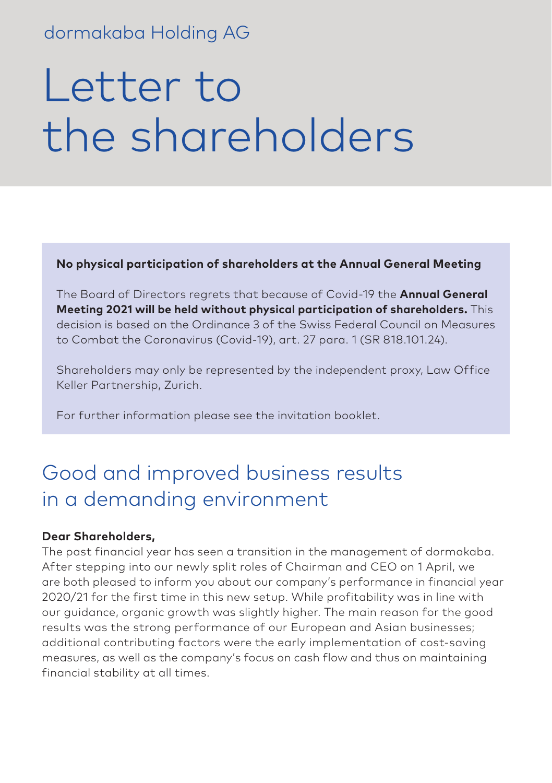### dormakaba Holding AG

# Letter to the shareholders

**No physical participation of shareholders at the Annual General Meeting**

The Board of Directors regrets that because of Covid-19 the **Annual General Meeting 2021 will be held without physical participation of shareholders.** This decision is based on the Ordinance 3 of the Swiss Federal Council on Measures to Combat the Coronavirus (Covid-19), art. 27 para. 1 (SR 818.101.24).

Shareholders may only be represented by the independent proxy, Law Office Keller Partnership, Zurich.

For further information please see the invitation booklet.

## Good and improved business results in a demanding environment

#### **Dear Shareholders,**

The past financial year has seen a transition in the management of dormakaba. After stepping into our newly split roles of Chairman and CEO on 1 April, we are both pleased to inform you about our company's performance in financial year 2020/21 for the first time in this new setup. While profitability was in line with our guidance, organic growth was slightly higher. The main reason for the good results was the strong performance of our European and Asian businesses; additional contributing factors were the early implementation of cost-saving measures, as well as the company's focus on cash flow and thus on maintaining financial stability at all times.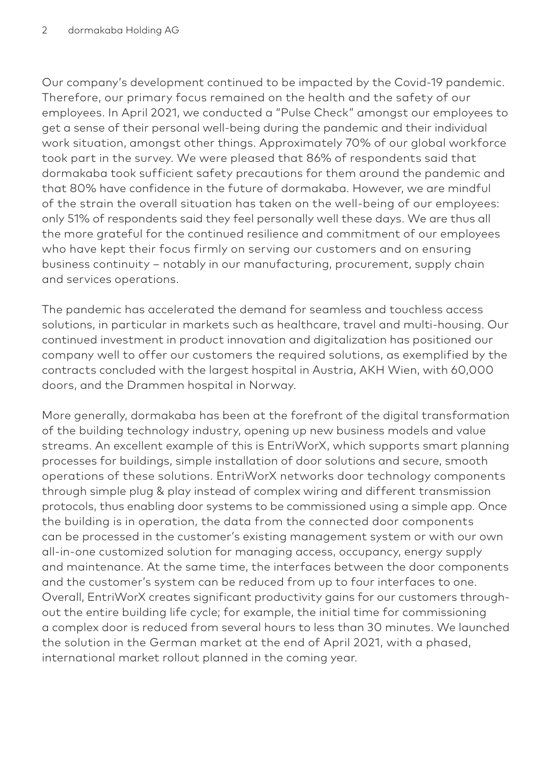Our company's development continued to be impacted by the Covid-19 pandemic. Therefore, our primary focus remained on the health and the safety of our employees. In April 2021, we conducted a "Pulse Check" amongst our employees to get a sense of their personal well-being during the pandemic and their individual work situation, amongst other things. Approximately 70% of our global workforce took part in the survey. We were pleased that 86% of respondents said that dormakaba took sufficient safety precautions for them around the pandemic and that 80% have confidence in the future of dormakaba. However, we are mindful of the strain the overall situation has taken on the well-being of our employees: only 51% of respondents said they feel personally well these days. We are thus all the more grateful for the continued resilience and commitment of our employees who have kept their focus firmly on serving our customers and on ensuring business continuity – notably in our manufacturing, procurement, supply chain and services operations.

The pandemic has accelerated the demand for seamless and touchless access solutions, in particular in markets such as healthcare, travel and multi-housing. Our continued investment in product innovation and digitalization has positioned our company well to offer our customers the required solutions, as exemplified by the contracts concluded with the largest hospital in Austria, AKH Wien, with 60,000 doors, and the Drammen hospital in Norway.

More generally, dormakaba has been at the forefront of the digital transformation of the building technology industry, opening up new business models and value streams. An excellent example of this is EntriWorX, which supports smart planning processes for buildings, simple installation of door solutions and secure, smooth operations of these solutions. EntriWorX networks door technology components through simple plug & play instead of complex wiring and different transmission protocols, thus enabling door systems to be commissioned using a simple app. Once the building is in operation, the data from the connected door components can be processed in the customer's existing management system or with our own all-in-one customized solution for managing access, occupancy, energy supply and maintenance. At the same time, the interfaces between the door components and the customer's system can be reduced from up to four interfaces to one. Overall, EntriWorX creates significant productivity gains for our customers throughout the entire building life cycle; for example, the initial time for commissioning a complex door is reduced from several hours to less than 30 minutes. We launched the solution in the German market at the end of April 2021, with a phased, international market rollout planned in the coming year.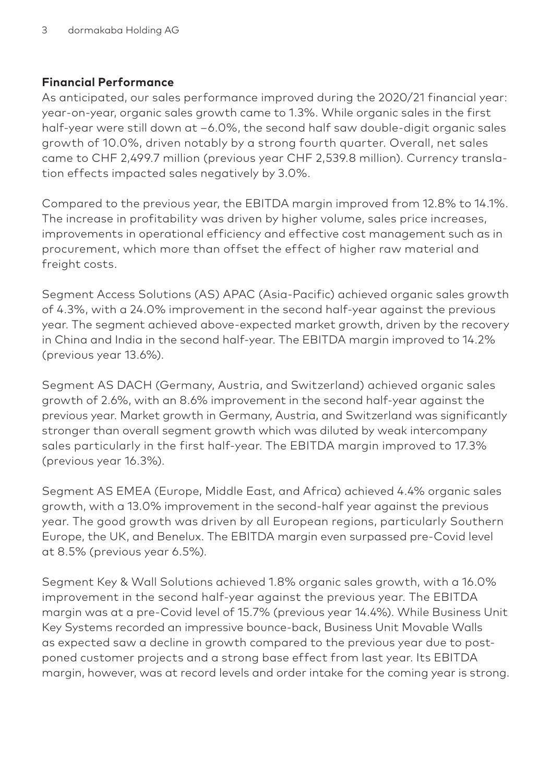#### **Financial Performance**

As anticipated, our sales performance improved during the 2020/21 financial year: year-on-year, organic sales growth came to 1.3%. While organic sales in the first half-year were still down at –6.0%, the second half saw double-digit organic sales growth of 10.0%, driven notably by a strong fourth quarter. Overall, net sales came to CHF 2,499.7 million (previous year CHF 2,539.8 million). Currency translation effects impacted sales negatively by 3.0%.

Compared to the previous year, the EBITDA margin improved from 12.8% to 14.1%. The increase in profitability was driven by higher volume, sales price increases, improvements in operational efficiency and effective cost management such as in procurement, which more than offset the effect of higher raw material and freight costs.

Segment Access Solutions (AS) APAC (Asia-Pacific) achieved organic sales growth of 4.3%, with a 24.0% improvement in the second half-year against the previous year. The segment achieved above-expected market growth, driven by the recovery in China and India in the second half-year. The EBITDA margin improved to 14.2% (previous year 13.6%).

Segment AS DACH (Germany, Austria, and Switzerland) achieved organic sales growth of 2.6%, with an 8.6% improvement in the second half-year against the previous year. Market growth in Germany, Austria, and Switzerland was significantly stronger than overall segment growth which was diluted by weak intercompany sales particularly in the first half-year. The EBITDA margin improved to 17.3% (previous year 16.3%).

Segment AS EMEA (Europe, Middle East, and Africa) achieved 4.4% organic sales growth, with a 13.0% improvement in the second-half year against the previous year. The good growth was driven by all European regions, particularly Southern Europe, the UK, and Benelux. The EBITDA margin even surpassed pre-Covid level at 8.5% (previous year 6.5%).

Segment Key & Wall Solutions achieved 1.8% organic sales growth, with a 16.0% improvement in the second half-year against the previous year. The EBITDA margin was at a pre-Covid level of 15.7% (previous year 14.4%). While Business Unit Key Systems recorded an impressive bounce-back, Business Unit Movable Walls as expected saw a decline in growth compared to the previous year due to postponed customer projects and a strong base effect from last year. Its EBITDA margin, however, was at record levels and order intake for the coming year is strong.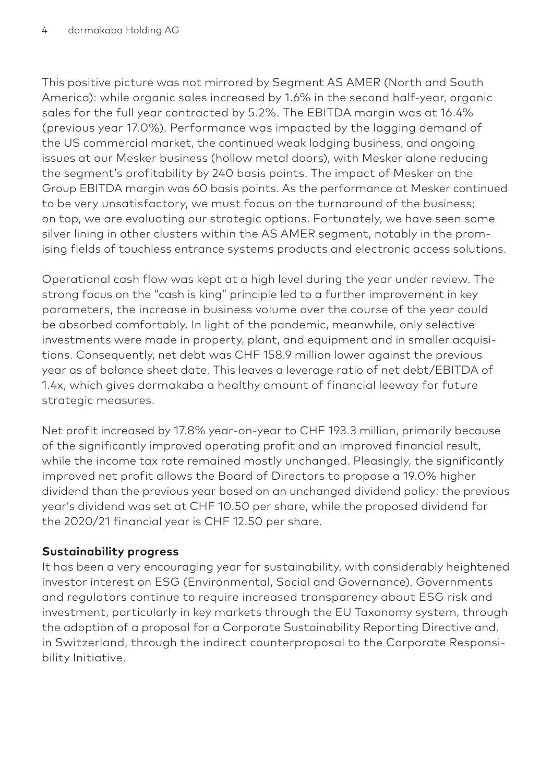This positive picture was not mirrored by Segment AS AMER (North and South America): while organic sales increased by 1.6% in the second half-year, organic sales for the full year contracted by 5.2%. The EBITDA margin was at 16.4% (previous year 17.0%). Performance was impacted by the lagging demand of the US commercial market, the continued weak lodging business, and ongoing issues at our Mesker business (hollow metal doors), with Mesker alone reducing the segment's profitability by 240 basis points. The impact of Mesker on the Group EBITDA margin was 60 basis points. As the performance at Mesker continued to be very unsatisfactory, we must focus on the turnaround of the business; on top, we are evaluating our strategic options. Fortunately, we have seen some silver lining in other clusters within the AS AMER segment, notably in the promising fields of touchless entrance systems products and electronic access solutions.

Operational cash flow was kept at a high level during the year under review. The strong focus on the "cash is king" principle led to a further improvement in key parameters, the increase in business volume over the course of the year could be absorbed comfortably. In light of the pandemic, meanwhile, only selective investments were made in property, plant, and equipment and in smaller acquisitions. Consequently, net debt was CHF 158.9 million lower against the previous year as of balance sheet date. This leaves a leverage ratio of net debt/EBITDA of 1.4x, which gives dormakaba a healthy amount of financial leeway for future strategic measures.

Net profit increased by 17.8% year-on-year to CHF 193.3 million, primarily because of the significantly improved operating profit and an improved financial result, while the income tax rate remained mostly unchanged. Pleasingly, the significantly improved net profit allows the Board of Directors to propose a 19.0% higher dividend than the previous year based on an unchanged dividend policy: the previous year's dividend was set at CHF 10.50 per share, while the proposed dividend for the 2020/21 financial year is CHF 12.50 per share.

#### **Sustainability progress**

It has been a very encouraging year for sustainability, with considerably heightened investor interest on ESG (Environmental, Social and Governance). Governments and regulators continue to require increased transparency about ESG risk and investment, particularly in key markets through the EU Taxonomy system, through the adoption of a proposal for a Corporate Sustainability Reporting Directive and, in Switzerland, through the indirect counterproposal to the Corporate Responsibility Initiative.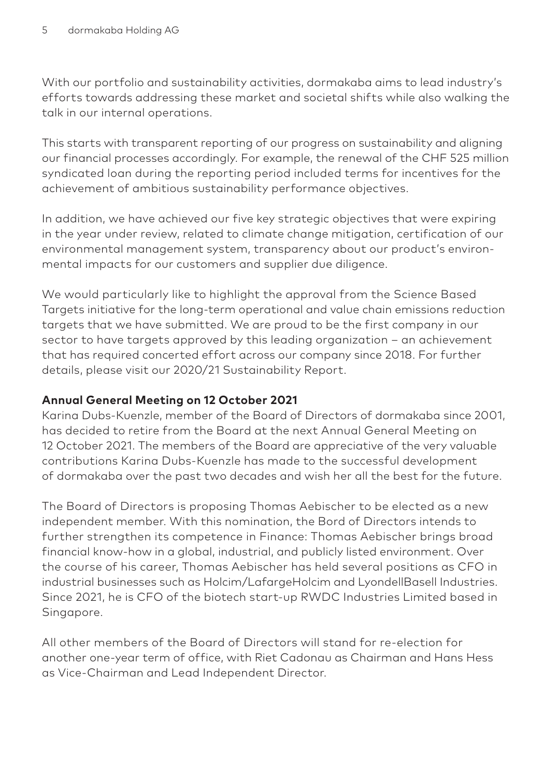With our portfolio and sustainability activities, dormakaba aims to lead industry's efforts towards addressing these market and societal shifts while also walking the talk in our internal operations.

This starts with transparent reporting of our progress on sustainability and aligning our financial processes accordingly. For example, the renewal of the CHF 525 million syndicated loan during the reporting period included terms for incentives for the achievement of ambitious sustainability performance objectives.

In addition, we have achieved our five key strategic objectives that were expiring in the year under review, related to climate change mitigation, certification of our environmental management system, transparency about our product's environmental impacts for our customers and supplier due diligence.

We would particularly like to highlight the approval from the Science Based Targets initiative for the long-term operational and value chain emissions reduction targets that we have submitted. We are proud to be the first company in our sector to have targets approved by this leading organization – an achievement that has required concerted effort across our company since 2018. For further details, please visit our 2020/21 Sustainability Report.

#### **Annual General Meeting on 12 October 2021**

Karina Dubs-Kuenzle, member of the Board of Directors of dormakaba since 2001, has decided to retire from the Board at the next Annual General Meeting on 12 October 2021. The members of the Board are appreciative of the very valuable contributions Karina Dubs-Kuenzle has made to the successful development of dormakaba over the past two decades and wish her all the best for the future.

The Board of Directors is proposing Thomas Aebischer to be elected as a new independent member. With this nomination, the Bord of Directors intends to further strengthen its competence in Finance: Thomas Aebischer brings broad financial know-how in a global, industrial, and publicly listed environment. Over the course of his career, Thomas Aebischer has held several positions as CFO in industrial businesses such as Holcim/LafargeHolcim and LyondellBasell Industries. Since 2021, he is CFO of the biotech start-up RWDC Industries Limited based in Singapore.

All other members of the Board of Directors will stand for re-election for another one-year term of office, with Riet Cadonau as Chairman and Hans Hess as Vice-Chairman and Lead Independent Director.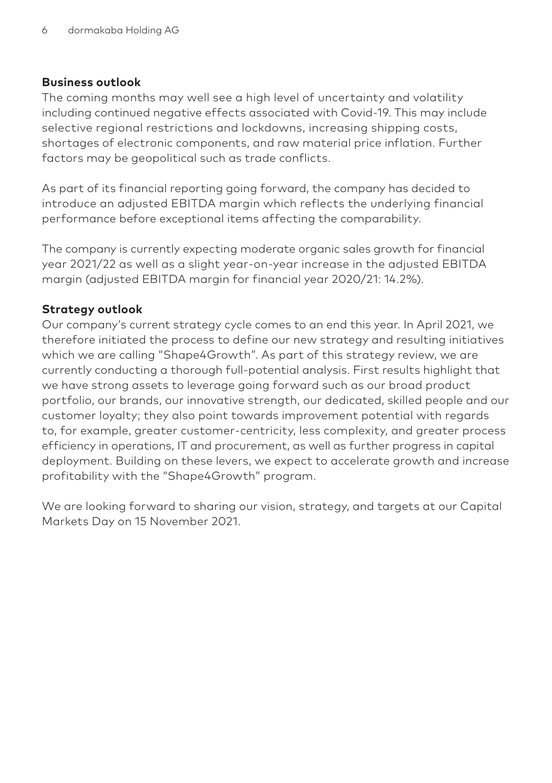#### **Business outlook**

The coming months may well see a high level of uncertainty and volatility including continued negative effects associated with Covid-19. This may include selective regional restrictions and lockdowns, increasing shipping costs, shortages of electronic components, and raw material price inflation. Further factors may be geopolitical such as trade conflicts.

As part of its financial reporting going forward, the company has decided to introduce an adjusted EBITDA margin which reflects the underlying financial performance before exceptional items affecting the comparability.

The company is currently expecting moderate organic sales growth for financial year 2021/22 as well as a slight year-on-year increase in the adjusted EBITDA margin (adjusted EBITDA margin for financial year 2020/21: 14.2%).

#### **Strategy outlook**

Our company's current strategy cycle comes to an end this year. In April 2021, we therefore initiated the process to define our new strategy and resulting initiatives which we are calling "Shape4Growth". As part of this strategy review, we are currently conducting a thorough full-potential analysis. First results highlight that we have strong assets to leverage going forward such as our broad product portfolio, our brands, our innovative strength, our dedicated, skilled people and our customer loyalty; they also point towards improvement potential with regards to, for example, greater customer-centricity, less complexity, and greater process efficiency in operations, IT and procurement, as well as further progress in capital deployment. Building on these levers, we expect to accelerate growth and increase profitability with the "Shape4Growth" program.

We are looking forward to sharing our vision, strategy, and targets at our Capital Markets Day on 15 November 2021.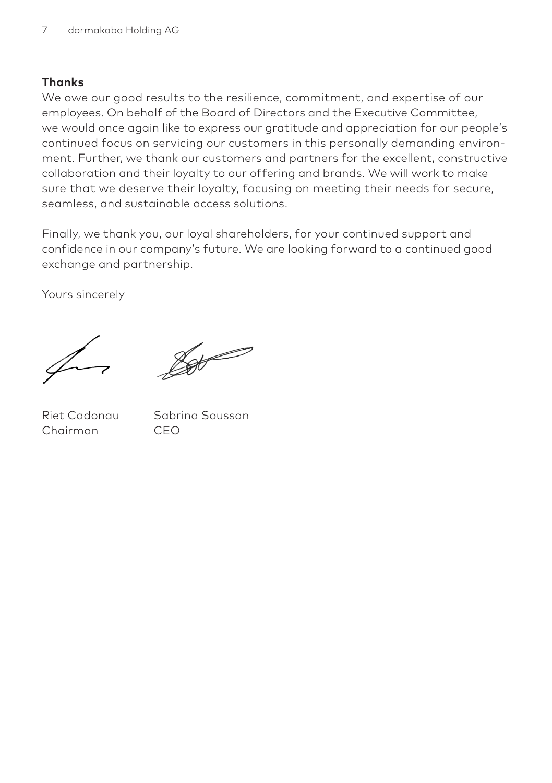#### **Thanks**

We owe our good results to the resilience, commitment, and expertise of our employees. On behalf of the Board of Directors and the Executive Committee, we would once again like to express our gratitude and appreciation for our people's continued focus on servicing our customers in this personally demanding environment. Further, we thank our customers and partners for the excellent, constructive collaboration and their loyalty to our offering and brands. We will work to make sure that we deserve their loyalty, focusing on meeting their needs for secure, seamless, and sustainable access solutions.

Finally, we thank you, our loyal shareholders, for your continued support and confidence in our company's future. We are looking forward to a continued good exchange and partnership.

Yours sincerely

Pot -

Chairman CEO

Riet Cadonau Sabrina Soussan